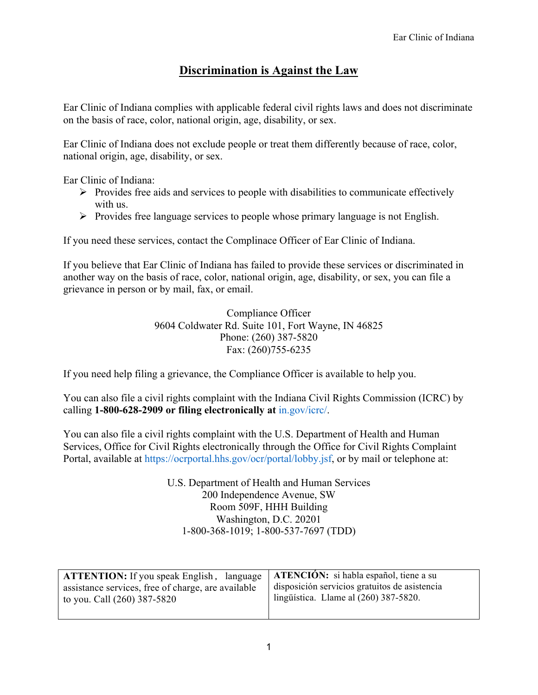## **Discrimination is Against the Law**

Ear Clinic of Indiana complies with applicable federal civil rights laws and does not discriminate on the basis of race, color, national origin, age, disability, or sex.

Ear Clinic of Indiana does not exclude people or treat them differently because of race, color, national origin, age, disability, or sex.

Ear Clinic of Indiana:

- $\triangleright$  Provides free aids and services to people with disabilities to communicate effectively with us.
- $\triangleright$  Provides free language services to people whose primary language is not English.

If you need these services, contact the Complinace Officer of Ear Clinic of Indiana.

If you believe that Ear Clinic of Indiana has failed to provide these services or discriminated in another way on the basis of race, color, national origin, age, disability, or sex, you can file a grievance in person or by mail, fax, or email.

> Compliance Officer 9604 Coldwater Rd. Suite 101, Fort Wayne, IN 46825 Phone: (260) 387-5820 Fax: (260)755-6235

If you need help filing a grievance, the Compliance Officer is available to help you.

You can also file a civil rights complaint with the Indiana Civil Rights Commission (ICRC) by calling **1-800-628-2909 or filing electronically at** in.gov/icrc/.

You can also file a civil rights complaint with the U.S. Department of Health and Human Services, Office for Civil Rights electronically through the Office for Civil Rights Complaint Portal, available at https://ocrportal.hhs.gov/ocr/portal/lobby.jsf, or by mail or telephone at:

> U.S. Department of Health and Human Services 200 Independence Avenue, SW Room 509F, HHH Building Washington, D.C. 20201 1-800-368-1019; 1-800-537-7697 (TDD)

| <b>ATTENTION:</b> If you speak English, language   <b>ATENCIÓN:</b> si habla español, tiene a su |                                               |
|--------------------------------------------------------------------------------------------------|-----------------------------------------------|
| assistance services, free of charge, are available                                               | disposición servicios gratuitos de asistencia |
| to you. Call (260) 387-5820                                                                      | lingüística. Llame al $(260)$ 387-5820.       |
|                                                                                                  |                                               |